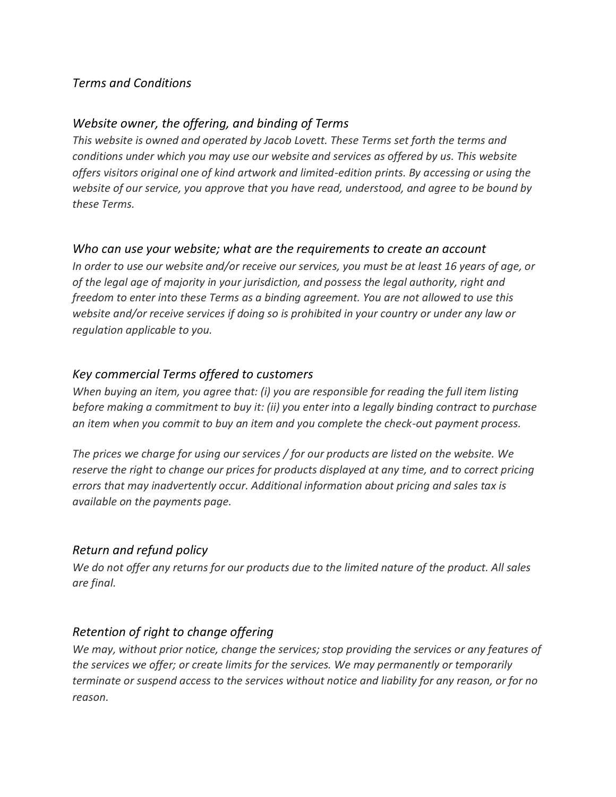### *Terms and Conditions*

### *Website owner, the offering, and binding of Terms*

*This website is owned and operated by Jacob Lovett. These Terms set forth the terms and conditions under which you may use our website and services as offered by us. This website offers visitors original one of kind artwork and limited-edition prints. By accessing or using the website of our service, you approve that you have read, understood, and agree to be bound by these Terms.*

#### *Who can use your website; what are the requirements to create an account*

*In order to use our website and/or receive our services, you must be at least 16 years of age, or of the legal age of majority in your jurisdiction, and possess the legal authority, right and freedom to enter into these Terms as a binding agreement. You are not allowed to use this website and/or receive services if doing so is prohibited in your country or under any law or regulation applicable to you.*

#### *Key commercial Terms offered to customers*

*When buying an item, you agree that: (i) you are responsible for reading the full item listing before making a commitment to buy it: (ii) you enter into a legally binding contract to purchase an item when you commit to buy an item and you complete the check-out payment process.*

*The prices we charge for using our services / for our products are listed on the website. We reserve the right to change our prices for products displayed at any time, and to correct pricing errors that may inadvertently occur. Additional information about pricing and sales tax is available on the payments page.*

### *Return and refund policy*

*We do not offer any returns for our products due to the limited nature of the product. All sales are final.*

### *Retention of right to change offering*

*We may, without prior notice, change the services; stop providing the services or any features of the services we offer; or create limits for the services. We may permanently or temporarily terminate or suspend access to the services without notice and liability for any reason, or for no reason.*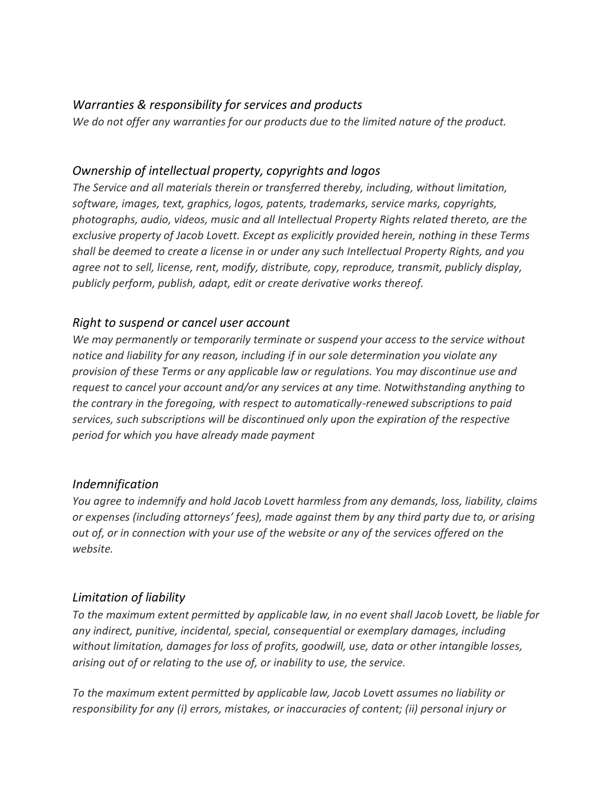## *Warranties & responsibility for services and products*

*We do not offer any warranties for our products due to the limited nature of the product.*

## *Ownership of intellectual property, copyrights and logos*

*The Service and all materials therein or transferred thereby, including, without limitation, software, images, text, graphics, logos, patents, trademarks, service marks, copyrights, photographs, audio, videos, music and all Intellectual Property Rights related thereto, are the exclusive property of Jacob Lovett. Except as explicitly provided herein, nothing in these Terms shall be deemed to create a license in or under any such Intellectual Property Rights, and you agree not to sell, license, rent, modify, distribute, copy, reproduce, transmit, publicly display, publicly perform, publish, adapt, edit or create derivative works thereof.*

## *Right to suspend or cancel user account*

*We may permanently or temporarily terminate or suspend your access to the service without notice and liability for any reason, including if in our sole determination you violate any provision of these Terms or any applicable law or regulations. You may discontinue use and request to cancel your account and/or any services at any time. Notwithstanding anything to the contrary in the foregoing, with respect to automatically-renewed subscriptions to paid services, such subscriptions will be discontinued only upon the expiration of the respective period for which you have already made payment*

### *Indemnification*

*You agree to indemnify and hold Jacob Lovett harmless from any demands, loss, liability, claims or expenses (including attorneys' fees), made against them by any third party due to, or arising out of, or in connection with your use of the website or any of the services offered on the website.*

# *Limitation of liability*

*To the maximum extent permitted by applicable law, in no event shall Jacob Lovett, be liable for any indirect, punitive, incidental, special, consequential or exemplary damages, including without limitation, damages for loss of profits, goodwill, use, data or other intangible losses, arising out of or relating to the use of, or inability to use, the service.*

*To the maximum extent permitted by applicable law, Jacob Lovett assumes no liability or responsibility for any (i) errors, mistakes, or inaccuracies of content; (ii) personal injury or*